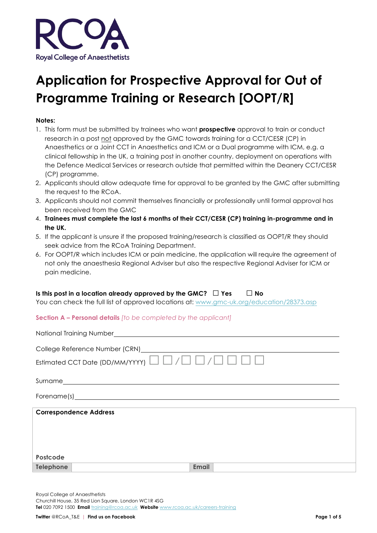

# **Application for Prospective Approval for Out of Programme Training or Research [OOPT/R]**

#### **Notes:**

- 1. This form must be submitted by trainees who want **prospective** approval to train or conduct research in a post not approved by the GMC towards training for a CCT/CESR (CP) in Anaesthetics or a Joint CCT in Anaesthetics and ICM or a Dual programme with ICM, e.g. a clinical fellowship in the UK, a training post in another country, deployment on operations with the Defence Medical Services or research outside that permitted within the Deanery CCT/CESR (CP) programme.
- 2. Applicants should allow adequate time for approval to be granted by the GMC after submitting the request to the RCoA.
- 3. Applicants should not commit themselves financially or professionally until formal approval has been received from the GMC
- 4. **Trainees must complete the last 6 months of their CCT/CESR (CP) training in-programme and in the UK.**
- 5. If the applicant is unsure if the proposed training/research is classified as OOPT/R they should seek advice from the RCoA Training Department.
- 6. For OOPT/R which includes ICM or pain medicine, the application will require the agreement of not only the anaesthesia Regional Adviser but also the respective Regional Adviser for ICM or pain medicine.

## **Is this post in a location already approved by the GMC? □ Yes □ No**

You can check the full list of approved locations at: www.gmc-uk.org/education/28373.asp

#### **Section A – Personal details** *[to be completed by the applicant]*

| College Reference Number (CRN)<br><u>College Reference Number (CRN)</u><br>Estimated CCT Date (DD/MM/YYYY) $\Box$ $\Box$ / $\Box$ $\Box$ / $\Box$ $\Box$ $\Box$ $\Box$ |
|------------------------------------------------------------------------------------------------------------------------------------------------------------------------|
|                                                                                                                                                                        |
|                                                                                                                                                                        |
| <b>Correspondence Address</b>                                                                                                                                          |
| Postcode<br><b>Telephone</b><br><b>Email</b>                                                                                                                           |

Royal College of Anaesthetists Churchill House, 35 Red Lion Square, London WC1R 4SG **Tel** 020 7092 1500 **Email** training@rcoa.ac.uk **Website** www.rcoa.ac.uk/careers-training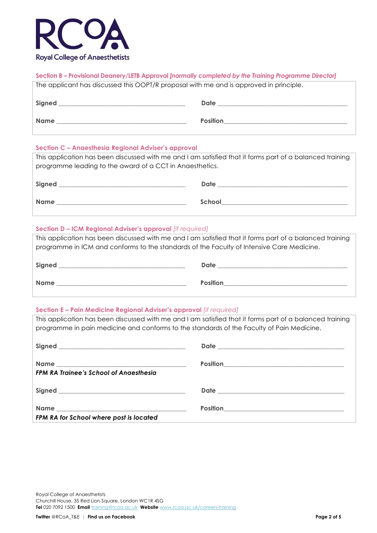

# **Section B – Provisional Deanery/LETB Approval** *[normally completed by the Training Programme Director]*

| The applicant has discussed this OOPT/R proposal with me and is approved in principle. |                 |  |  |  |  |  |
|----------------------------------------------------------------------------------------|-----------------|--|--|--|--|--|
| Signed                                                                                 | Date            |  |  |  |  |  |
| <b>Name</b>                                                                            | <b>Position</b> |  |  |  |  |  |

#### **Section C – Anaesthesia Regional Adviser's approval**

This application has been discussed with me and I am satisfied that it forms part of a balanced training programme leading to the award of a CCT in Anaesthetics.

| Signed      | Date   |
|-------------|--------|
| <b>Name</b> | School |

## **Section D – ICM Regional Adviser's approval** *[if required]*

This application has been discussed with me and I am satisfied that it forms part of a balanced training programme in ICM and conforms to the standards of the Faculty of Intensive Care Medicine.

| Signed | Date            |
|--------|-----------------|
| Name   | <b>Position</b> |

## **Section E – Pain Medicine Regional Adviser's approval** *[if required]*

This application has been discussed with me and I am satisfied that it forms part of a balanced training programme in pain medicine and conforms to the standards of the Faculty of Pain Medicine.

| <b>FPM RA Trainee's School of Angesthesia</b> | Position<br>The Second Second Second Second Second Second Second Second Second Second Second Second Second Second Second Second Second Second Second Second Second Second Second Second Second Second Second Second Second Secon |
|-----------------------------------------------|----------------------------------------------------------------------------------------------------------------------------------------------------------------------------------------------------------------------------------|
|                                               |                                                                                                                                                                                                                                  |
| FPM RA for School where post is located       |                                                                                                                                                                                                                                  |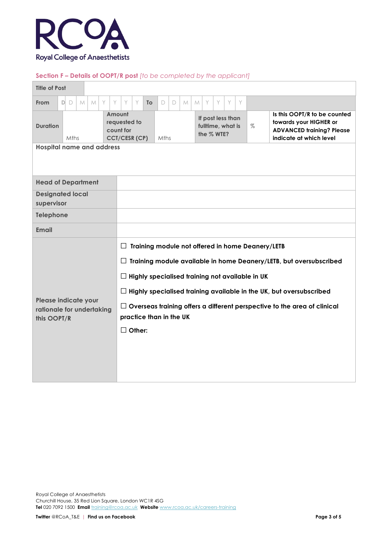

### **Section F – Details of OOPT/R post** *[to be completed by the applicant]*

| <b>Title of Post</b>                                                       |              |      |   |               |                                                                                                            |   |           |        |   |   |   |                                                      |   |   |   |      |  |                                                                                                                       |
|----------------------------------------------------------------------------|--------------|------|---|---------------|------------------------------------------------------------------------------------------------------------|---|-----------|--------|---|---|---|------------------------------------------------------|---|---|---|------|--|-----------------------------------------------------------------------------------------------------------------------|
| From                                                                       | $\Box$<br>DI | M    | M | Y<br>Y        | Y                                                                                                          | Y | <b>To</b> | $\Box$ | D | M | M | Y                                                    | Y | Y | Y |      |  |                                                                                                                       |
| <b>Duration</b>                                                            |              | Mths |   | Amount        | requested to<br>count for<br><b>CCT/CESR (CP)</b>                                                          |   |           | Mths   |   |   |   | If post less than<br>fulltime, what is<br>the % WTE? |   |   |   | $\%$ |  | Is this OOPT/R to be counted<br>towards your HIGHER or<br><b>ADVANCED training? Please</b><br>indicate at which level |
| <b>Hospital name and address</b>                                           |              |      |   |               |                                                                                                            |   |           |        |   |   |   |                                                      |   |   |   |      |  |                                                                                                                       |
| <b>Head of Department</b>                                                  |              |      |   |               |                                                                                                            |   |           |        |   |   |   |                                                      |   |   |   |      |  |                                                                                                                       |
| <b>Designated local</b><br>supervisor                                      |              |      |   |               |                                                                                                            |   |           |        |   |   |   |                                                      |   |   |   |      |  |                                                                                                                       |
| <b>Telephone</b>                                                           |              |      |   |               |                                                                                                            |   |           |        |   |   |   |                                                      |   |   |   |      |  |                                                                                                                       |
| <b>Email</b>                                                               |              |      |   |               |                                                                                                            |   |           |        |   |   |   |                                                      |   |   |   |      |  |                                                                                                                       |
|                                                                            |              |      |   |               | Training module not offered in home Deanery/LETB<br>$\perp$                                                |   |           |        |   |   |   |                                                      |   |   |   |      |  |                                                                                                                       |
|                                                                            |              |      |   |               | $\Box$ Training module available in home Deanery/LETB, but oversubscribed                                  |   |           |        |   |   |   |                                                      |   |   |   |      |  |                                                                                                                       |
|                                                                            |              |      |   |               | $\Box$ Highly specialised training not available in UK                                                     |   |           |        |   |   |   |                                                      |   |   |   |      |  |                                                                                                                       |
| $\Box$ Highly specialised training available in the UK, but oversubscribed |              |      |   |               |                                                                                                            |   |           |        |   |   |   |                                                      |   |   |   |      |  |                                                                                                                       |
| Please indicate your<br>rationale for undertaking<br>this OOPT/R           |              |      |   |               | $\Box$ Overseas training offers a different perspective to the area of clinical<br>practice than in the UK |   |           |        |   |   |   |                                                      |   |   |   |      |  |                                                                                                                       |
|                                                                            |              |      |   | $\Box$ Other: |                                                                                                            |   |           |        |   |   |   |                                                      |   |   |   |      |  |                                                                                                                       |
|                                                                            |              |      |   |               |                                                                                                            |   |           |        |   |   |   |                                                      |   |   |   |      |  |                                                                                                                       |
|                                                                            |              |      |   |               |                                                                                                            |   |           |        |   |   |   |                                                      |   |   |   |      |  |                                                                                                                       |
|                                                                            |              |      |   |               |                                                                                                            |   |           |        |   |   |   |                                                      |   |   |   |      |  |                                                                                                                       |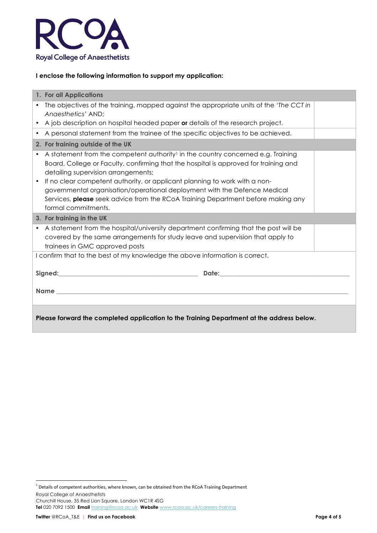

## **I enclose the following information to support my application:**

| 1. For all Applications                                                                                                                                                                                                                                                                                                                                                                                                                                                                                                     |  |
|-----------------------------------------------------------------------------------------------------------------------------------------------------------------------------------------------------------------------------------------------------------------------------------------------------------------------------------------------------------------------------------------------------------------------------------------------------------------------------------------------------------------------------|--|
| The objectives of the training, mapped against the appropriate units of the 'The CCT in<br>Anaesthetics' AND;                                                                                                                                                                                                                                                                                                                                                                                                               |  |
| A job description on hospital headed paper or details of the research project.<br>$\bullet$                                                                                                                                                                                                                                                                                                                                                                                                                                 |  |
| A personal statement from the trainee of the specific objectives to be achieved.<br>$\bullet$                                                                                                                                                                                                                                                                                                                                                                                                                               |  |
| 2. For training outside of the UK                                                                                                                                                                                                                                                                                                                                                                                                                                                                                           |  |
| A statement from the competent authority <sup>1</sup> in the country concerned e.g. Training<br>$\bullet$<br>Board, College or Faculty, confirming that the hospital is approved for training and<br>detailing supervision arrangements;<br>If no clear competent authority, or applicant planning to work with a non-<br>$\bullet$<br>governmental organisation/operational deployment with the Defence Medical<br>Services, please seek advice from the RCoA Training Department before making any<br>formal commitments. |  |
| 3. For training in the UK                                                                                                                                                                                                                                                                                                                                                                                                                                                                                                   |  |
| A statement from the hospital/university department confirming that the post will be<br>$\bullet$<br>covered by the same arrangements for study leave and supervision that apply to<br>trainees in GMC approved posts                                                                                                                                                                                                                                                                                                       |  |
| I confirm that to the best of my knowledge the above information is correct.                                                                                                                                                                                                                                                                                                                                                                                                                                                |  |
| Date: Note: Note: Note: Note: Note: Note: Note: Note: Note: Note: Note: Note: Note: Note: Note: Note: Note: No                                                                                                                                                                                                                                                                                                                                                                                                              |  |
| Name <b>Name Name Name Name Name Name Name Name Name NAME</b>                                                                                                                                                                                                                                                                                                                                                                                                                                                               |  |
| Please forward the completed application to the Training Department at the address below.                                                                                                                                                                                                                                                                                                                                                                                                                                   |  |

<u> 1989 - Jan Samuel Barbara, político establecido de la provincia de la provincia de la provincia de la provinci</u>

Royal College of Anaesthetists Churchill House, 35 Red Lion Square, London WC1R 4SG **Tel** 020 7092 1500 **Email** training@rcoa.ac.uk **Website** www.rcoa.ac.uk/careers-training  $^1$  Details of competent authorities, where known, can be obtained from the RCoA Training Department